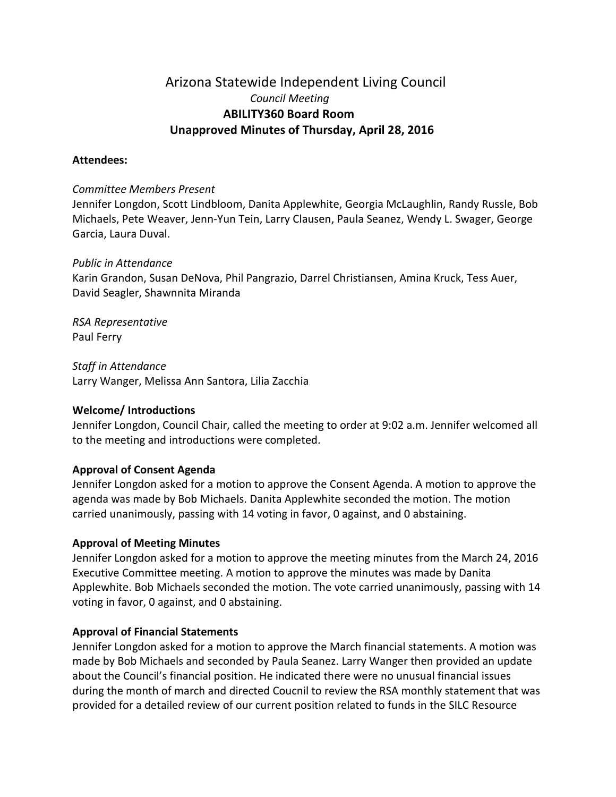# Arizona Statewide Independent Living Council *Council Meeting*  **ABILITY360 Board Room Unapproved Minutes of Thursday, April 28, 2016**

### **Attendees:**

#### *Committee Members Present*

Jennifer Longdon, Scott Lindbloom, Danita Applewhite, Georgia McLaughlin, Randy Russle, Bob Michaels, Pete Weaver, Jenn-Yun Tein, Larry Clausen, Paula Seanez, Wendy L. Swager, George Garcia, Laura Duval.

#### *Public in Attendance*

Karin Grandon, Susan DeNova, Phil Pangrazio, Darrel Christiansen, Amina Kruck, Tess Auer, David Seagler, Shawnnita Miranda

*RSA Representative*  Paul Ferry

*Staff in Attendance* Larry Wanger, Melissa Ann Santora, Lilia Zacchia

#### **Welcome/ Introductions**

Jennifer Longdon, Council Chair, called the meeting to order at 9:02 a.m. Jennifer welcomed all to the meeting and introductions were completed.

# **Approval of Consent Agenda**

Jennifer Longdon asked for a motion to approve the Consent Agenda. A motion to approve the agenda was made by Bob Michaels. Danita Applewhite seconded the motion. The motion carried unanimously, passing with 14 voting in favor, 0 against, and 0 abstaining.

#### **Approval of Meeting Minutes**

Jennifer Longdon asked for a motion to approve the meeting minutes from the March 24, 2016 Executive Committee meeting. A motion to approve the minutes was made by Danita Applewhite. Bob Michaels seconded the motion. The vote carried unanimously, passing with 14 voting in favor, 0 against, and 0 abstaining.

#### **Approval of Financial Statements**

Jennifer Longdon asked for a motion to approve the March financial statements. A motion was made by Bob Michaels and seconded by Paula Seanez. Larry Wanger then provided an update about the Council's financial position. He indicated there were no unusual financial issues during the month of march and directed Coucnil to review the RSA monthly statement that was provided for a detailed review of our current position related to funds in the SILC Resource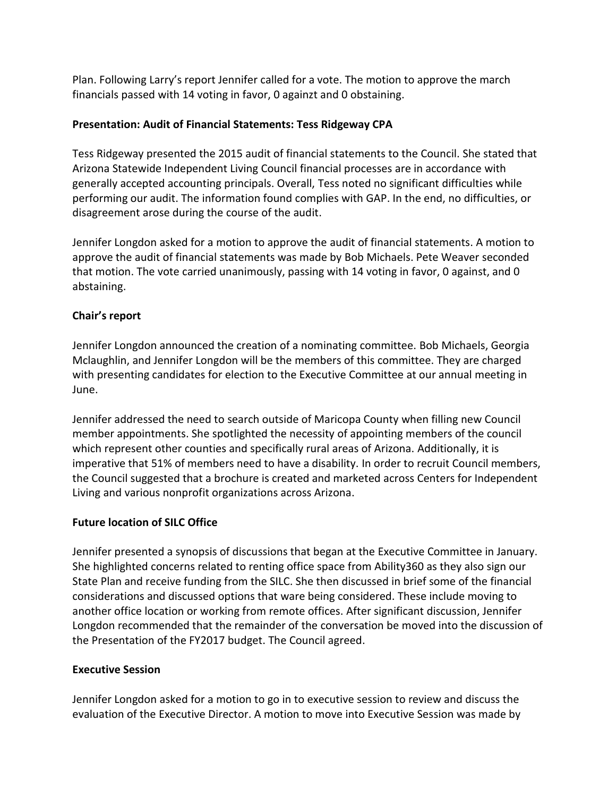Plan. Following Larry's report Jennifer called for a vote. The motion to approve the march financials passed with 14 voting in favor, 0 againzt and 0 obstaining.

### **Presentation: Audit of Financial Statements: Tess Ridgeway CPA**

Tess Ridgeway presented the 2015 audit of financial statements to the Council. She stated that Arizona Statewide Independent Living Council financial processes are in accordance with generally accepted accounting principals. Overall, Tess noted no significant difficulties while performing our audit. The information found complies with GAP. In the end, no difficulties, or disagreement arose during the course of the audit.

Jennifer Longdon asked for a motion to approve the audit of financial statements. A motion to approve the audit of financial statements was made by Bob Michaels. Pete Weaver seconded that motion. The vote carried unanimously, passing with 14 voting in favor, 0 against, and 0 abstaining.

### **Chair's report**

Jennifer Longdon announced the creation of a nominating committee. Bob Michaels, Georgia Mclaughlin, and Jennifer Longdon will be the members of this committee. They are charged with presenting candidates for election to the Executive Committee at our annual meeting in June.

Jennifer addressed the need to search outside of Maricopa County when filling new Council member appointments. She spotlighted the necessity of appointing members of the council which represent other counties and specifically rural areas of Arizona. Additionally, it is imperative that 51% of members need to have a disability. In order to recruit Council members, the Council suggested that a brochure is created and marketed across Centers for Independent Living and various nonprofit organizations across Arizona.

#### **Future location of SILC Office**

Jennifer presented a synopsis of discussions that began at the Executive Committee in January. She highlighted concerns related to renting office space from Ability360 as they also sign our State Plan and receive funding from the SILC. She then discussed in brief some of the financial considerations and discussed options that ware being considered. These include moving to another office location or working from remote offices. After significant discussion, Jennifer Longdon recommended that the remainder of the conversation be moved into the discussion of the Presentation of the FY2017 budget. The Council agreed.

#### **Executive Session**

Jennifer Longdon asked for a motion to go in to executive session to review and discuss the evaluation of the Executive Director. A motion to move into Executive Session was made by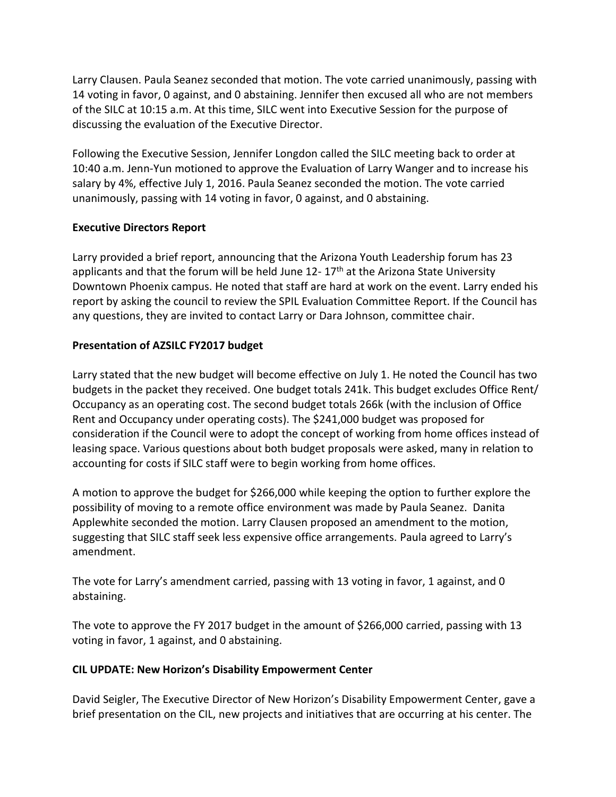Larry Clausen. Paula Seanez seconded that motion. The vote carried unanimously, passing with 14 voting in favor, 0 against, and 0 abstaining. Jennifer then excused all who are not members of the SILC at 10:15 a.m. At this time, SILC went into Executive Session for the purpose of discussing the evaluation of the Executive Director.

Following the Executive Session, Jennifer Longdon called the SILC meeting back to order at 10:40 a.m. Jenn-Yun motioned to approve the Evaluation of Larry Wanger and to increase his salary by 4%, effective July 1, 2016. Paula Seanez seconded the motion. The vote carried unanimously, passing with 14 voting in favor, 0 against, and 0 abstaining.

### **Executive Directors Report**

Larry provided a brief report, announcing that the Arizona Youth Leadership forum has 23 applicants and that the forum will be held June  $12 - 17$ <sup>th</sup> at the Arizona State University Downtown Phoenix campus. He noted that staff are hard at work on the event. Larry ended his report by asking the council to review the SPIL Evaluation Committee Report. If the Council has any questions, they are invited to contact Larry or Dara Johnson, committee chair.

# **Presentation of AZSILC FY2017 budget**

Larry stated that the new budget will become effective on July 1. He noted the Council has two budgets in the packet they received. One budget totals 241k. This budget excludes Office Rent/ Occupancy as an operating cost. The second budget totals 266k (with the inclusion of Office Rent and Occupancy under operating costs). The \$241,000 budget was proposed for consideration if the Council were to adopt the concept of working from home offices instead of leasing space. Various questions about both budget proposals were asked, many in relation to accounting for costs if SILC staff were to begin working from home offices.

A motion to approve the budget for \$266,000 while keeping the option to further explore the possibility of moving to a remote office environment was made by Paula Seanez. Danita Applewhite seconded the motion. Larry Clausen proposed an amendment to the motion, suggesting that SILC staff seek less expensive office arrangements. Paula agreed to Larry's amendment.

The vote for Larry's amendment carried, passing with 13 voting in favor, 1 against, and 0 abstaining.

The vote to approve the FY 2017 budget in the amount of \$266,000 carried, passing with 13 voting in favor, 1 against, and 0 abstaining.

#### **CIL UPDATE: New Horizon's Disability Empowerment Center**

David Seigler, The Executive Director of New Horizon's Disability Empowerment Center, gave a brief presentation on the CIL, new projects and initiatives that are occurring at his center. The